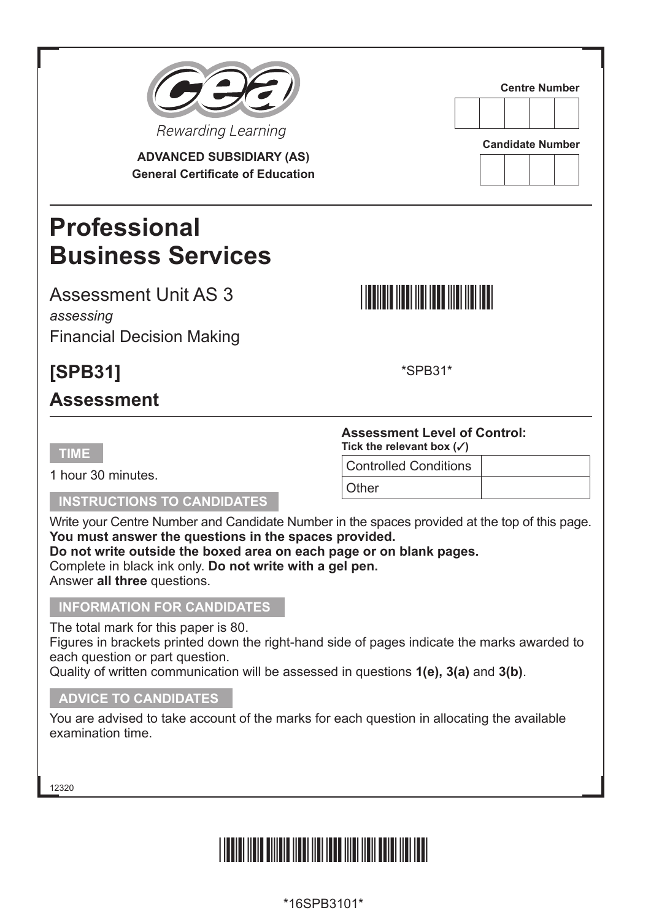| Rewarding Learning<br><b>ADVANCED SUBSIDIARY (AS)</b><br><b>General Certificate of Education</b> |                                                                             | <b>Centre Number</b><br><b>Candidate Number</b> |
|--------------------------------------------------------------------------------------------------|-----------------------------------------------------------------------------|-------------------------------------------------|
| <b>Professional</b><br><b>Business Services</b>                                                  |                                                                             |                                                 |
| <b>Assessment Unit AS 3</b><br>assessing<br><b>Financial Decision Making</b>                     |                                                                             |                                                 |
| [SPB31]<br>Assessment                                                                            | *SPB31*                                                                     |                                                 |
|                                                                                                  | <b>Assessment Level of Control:</b><br>Tick the relevant box $(\checkmark)$ |                                                 |
| <b>TIME</b>                                                                                      |                                                                             |                                                 |

hot write outside the boxed area on each page or on blank pages. Complete in black ink only. **Do not write with a gel pen.** Answer **all three** questions.

### **INFORMATION FOR CANDIDATES**

The total mark for this paper is 80. Figures in brackets printed down the right-hand side of pages indicate the marks awarded to each question or part question. Quality of written communication will be assessed in questions **1(e), 3(a)** and **3(b)**.

### **ADVICE TO CANDIDATES**

You are advised to take account of the marks for each question in allocating the available examination time.

12320

## \*16SPB3101\*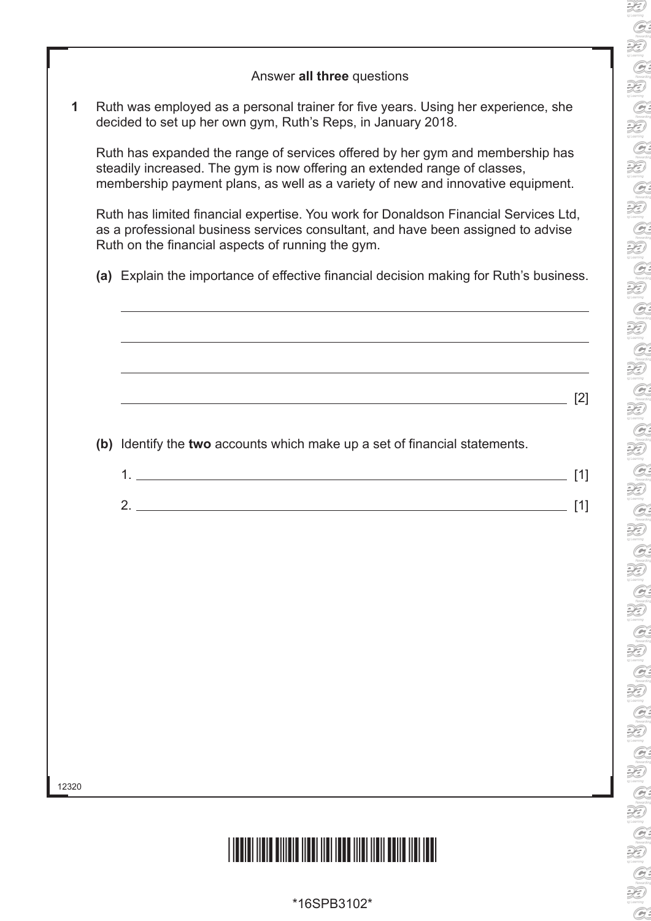[2]

### Answer **all three** questions

**1** Ruth was employed as a personal trainer for five years. Using her experience, she decided to set up her own gym, Ruth's Reps, in January 2018.

Ruth has expanded the range of services offered by her gym and membership has steadily increased. The gym is now offering an extended range of classes, membership payment plans, as well as a variety of new and innovative equipment.

Ruth has limited financial expertise. You work for Donaldson Financial Services Ltd, as a professional business services consultant, and have been assigned to advise Ruth on the financial aspects of running the gym.

**(a)** Explain the importance of effective financial decision making for Ruth's business.

| (b) Identify the two accounts which make up a set of financial statements. |  |
|----------------------------------------------------------------------------|--|

#### 12320

## <u>\*16SPB31028 B111010 ITO 1781 ITO 1781 ITO 1781 ITO 1781 ITO 1781 I</u>

\*16SPB3102\*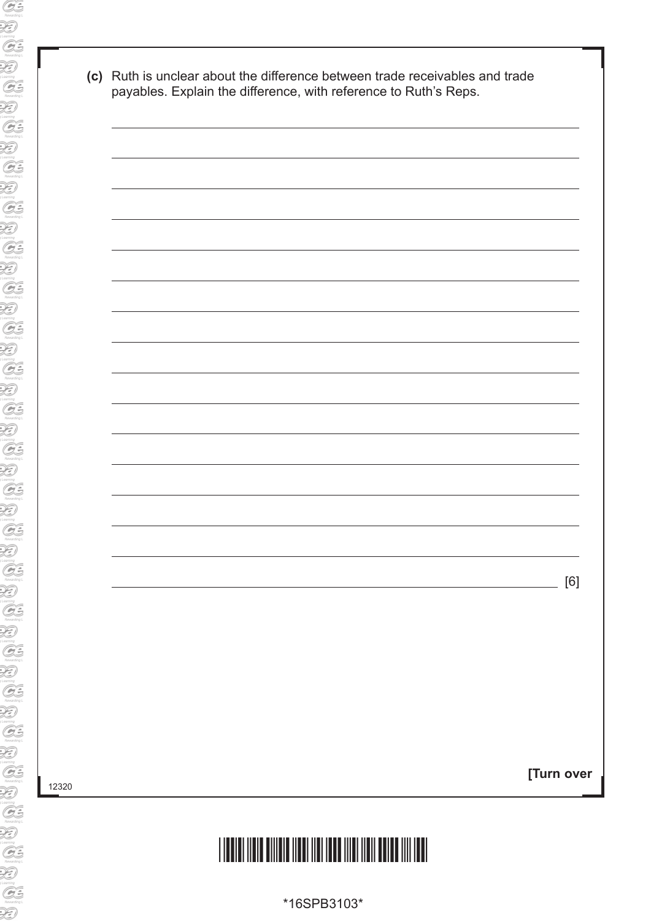|  |  |  | [6] |
|--|--|--|-----|
|  |  |  |     |
|  |  |  |     |
|  |  |  |     |
|  |  |  |     |
|  |  |  |     |

# \*16SPB3103\*

\*16SPB3103\*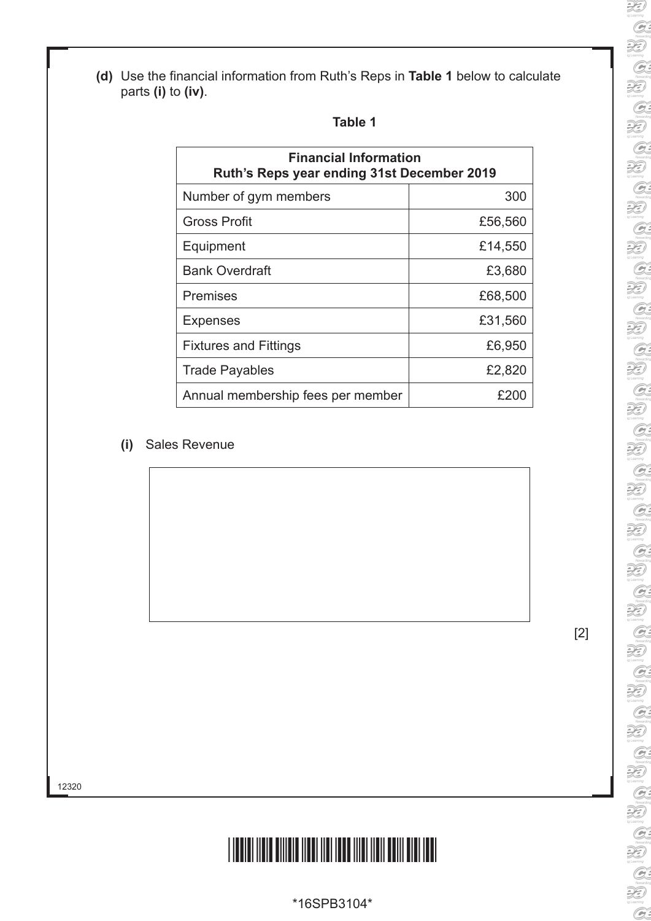**(d)** Use the financial information from Ruth's Reps in **Table 1** below to calculate parts **(i)** to **(iv)**.

| <b>Financial Information</b><br>Ruth's Reps year ending 31st December 2019 |         |  |  |
|----------------------------------------------------------------------------|---------|--|--|
| Number of gym members                                                      | 300     |  |  |
| Gross Profit                                                               | £56,560 |  |  |
| Equipment                                                                  | £14,550 |  |  |
| <b>Bank Overdraft</b>                                                      | £3,680  |  |  |
| <b>Premises</b>                                                            | £68,500 |  |  |
| <b>Expenses</b>                                                            | £31,560 |  |  |
| <b>Fixtures and Fittings</b>                                               | £6,950  |  |  |
| <b>Trade Payables</b>                                                      | £2,820  |  |  |
| Annual membership fees per member                                          | £20     |  |  |

### **Table 1**

#### **(i)** Sales Revenue

[2]

#### 12320

## \*16SPB3104\*

\*16SPB3104\*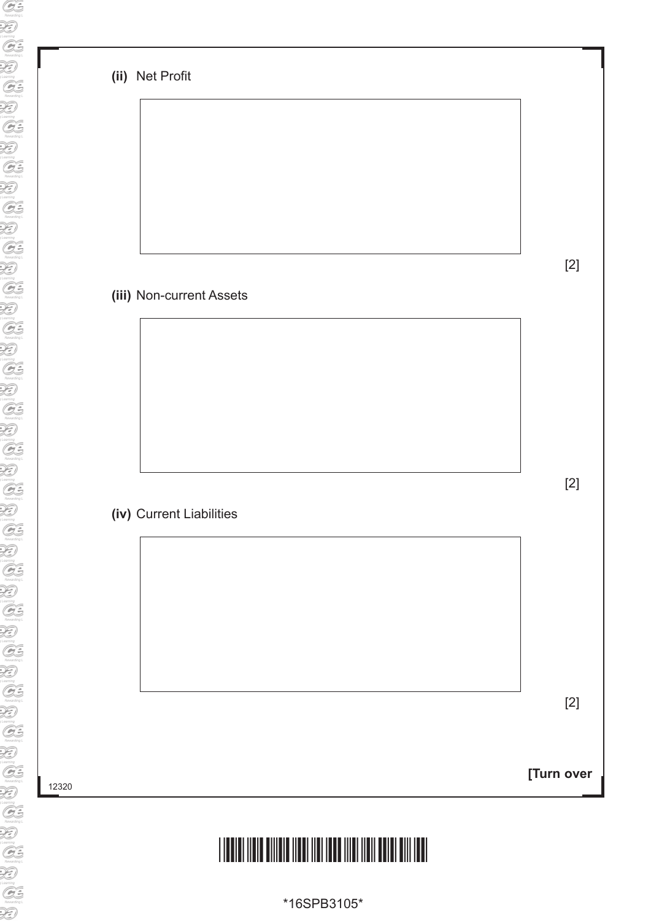#### **(ii)** Net Profit

### **(iii)** Non-current Assets





[2]

## \*16SPB3105\*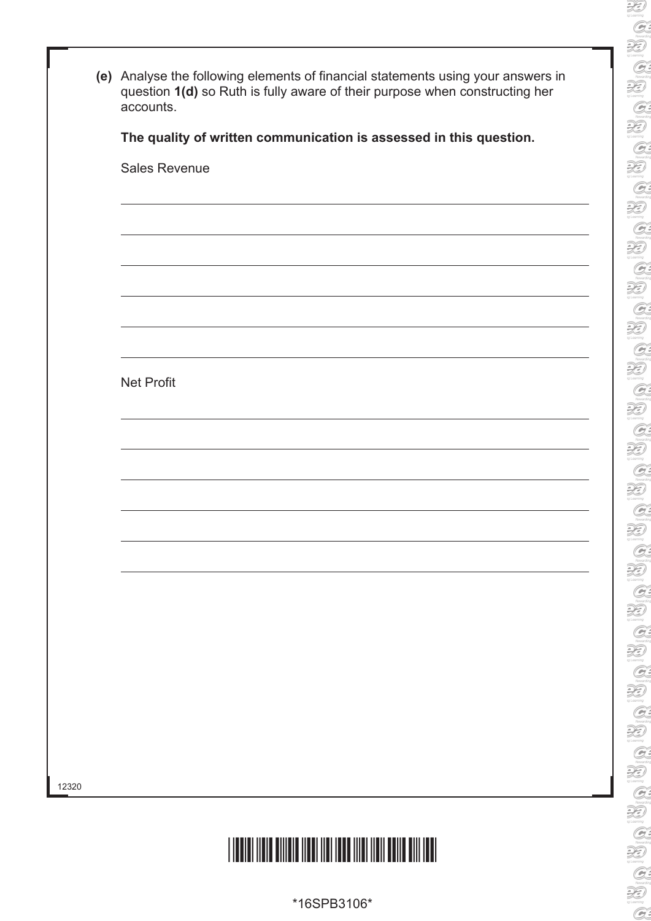| (e) Analyse the following elements of financial statements using your answers in<br>question 1(d) so Ruth is fully aware of their purpose when constructing her<br>accounts. |
|------------------------------------------------------------------------------------------------------------------------------------------------------------------------------|
| The quality of written communication is assessed in this question.                                                                                                           |
| <b>Sales Revenue</b>                                                                                                                                                         |
|                                                                                                                                                                              |
|                                                                                                                                                                              |
|                                                                                                                                                                              |
|                                                                                                                                                                              |
|                                                                                                                                                                              |
|                                                                                                                                                                              |
| <b>Net Profit</b>                                                                                                                                                            |
|                                                                                                                                                                              |
|                                                                                                                                                                              |
|                                                                                                                                                                              |
|                                                                                                                                                                              |
|                                                                                                                                                                              |
|                                                                                                                                                                              |
|                                                                                                                                                                              |
|                                                                                                                                                                              |
|                                                                                                                                                                              |
|                                                                                                                                                                              |
|                                                                                                                                                                              |
|                                                                                                                                                                              |
|                                                                                                                                                                              |
|                                                                                                                                                                              |
|                                                                                                                                                                              |

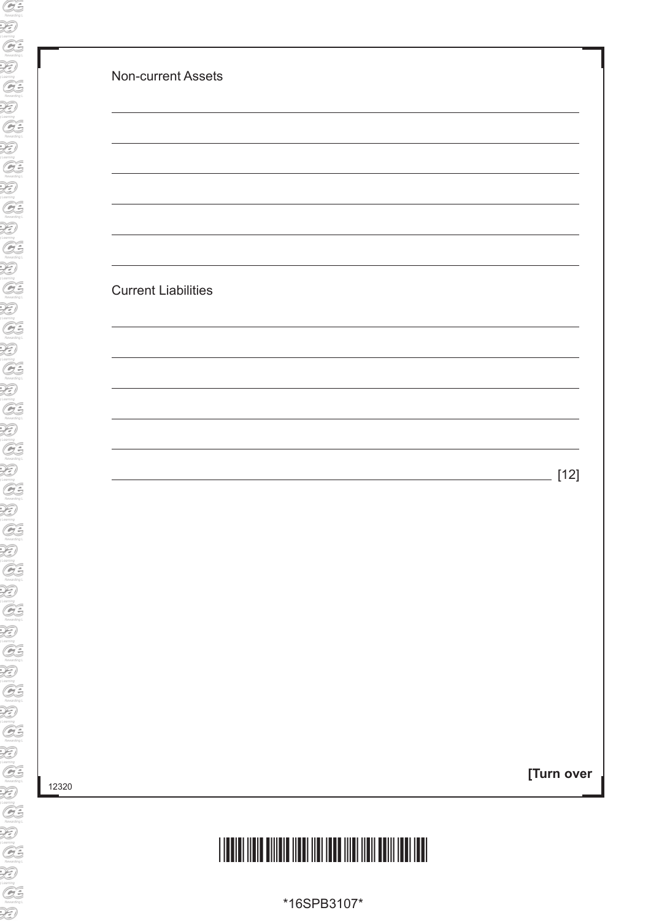|       | <b>Current Liabilities</b> |            |
|-------|----------------------------|------------|
|       |                            |            |
|       |                            |            |
|       |                            | $[12]$     |
|       |                            |            |
|       |                            |            |
|       |                            |            |
|       |                            |            |
|       |                            |            |
| 12320 |                            | [Turn over |

# <u>\*16SPB3107FB3107FB3107FB3107FB3107FB3107FB310</u>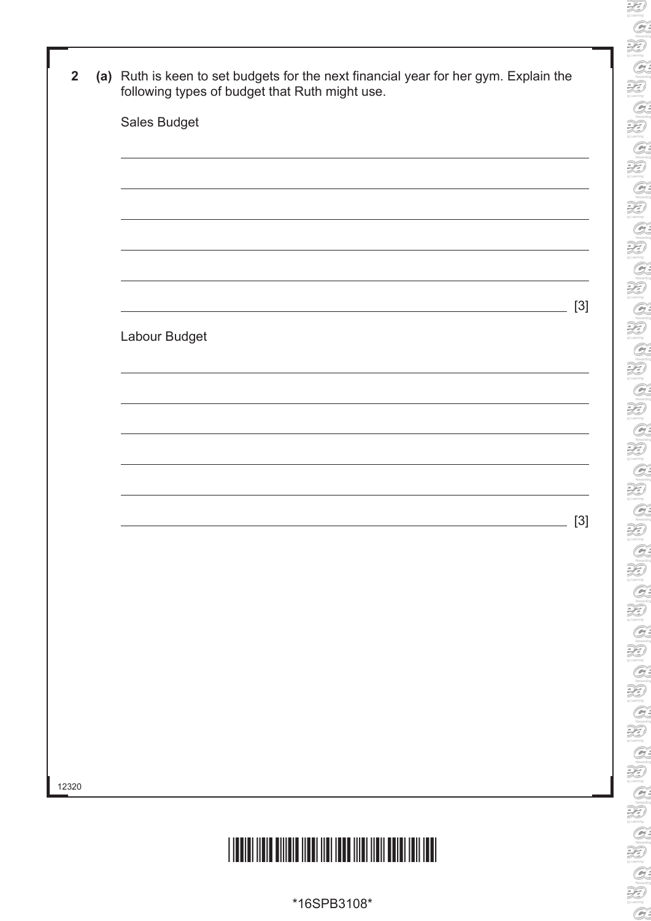| $\mathbf{2}$ | (a) Ruth is keen to set budgets for the next financial year for her gym. Explain the<br>following types of budget that Ruth might use.                                                                                        |
|--------------|-------------------------------------------------------------------------------------------------------------------------------------------------------------------------------------------------------------------------------|
|              | Sales Budget                                                                                                                                                                                                                  |
|              |                                                                                                                                                                                                                               |
|              |                                                                                                                                                                                                                               |
|              |                                                                                                                                                                                                                               |
|              | the control of the control of the control of the control of the control of the control of the control of the control of the control of the control of the control of the control of the control of the control of the control |
|              | $[3]$<br><u> 1989 - Johann Stoff, fransk konge og det forskellige og det forskellige og det forskellige og det forskellig</u>                                                                                                 |
|              | Labour Budget                                                                                                                                                                                                                 |
|              |                                                                                                                                                                                                                               |
|              |                                                                                                                                                                                                                               |
|              |                                                                                                                                                                                                                               |
|              |                                                                                                                                                                                                                               |
|              | $[3]$                                                                                                                                                                                                                         |
|              |                                                                                                                                                                                                                               |
|              |                                                                                                                                                                                                                               |
|              |                                                                                                                                                                                                                               |
|              |                                                                                                                                                                                                                               |
|              |                                                                                                                                                                                                                               |
|              |                                                                                                                                                                                                                               |
| 12320        |                                                                                                                                                                                                                               |
|              |                                                                                                                                                                                                                               |

L

\*16SPB3108\*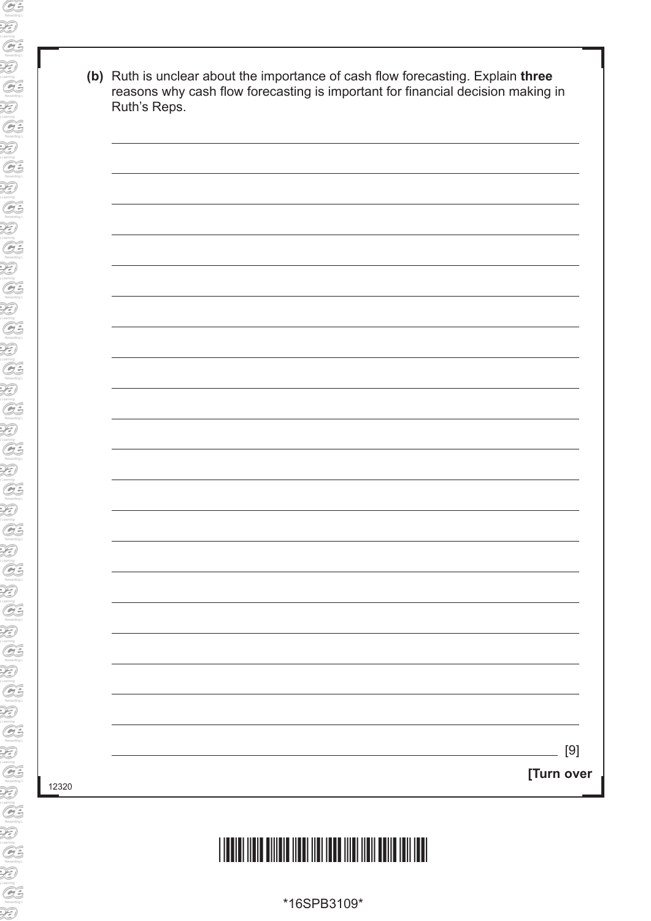## \*16SPB3109\*

| (b) Ruth is unclear about the importance of cash flow forecasting. Explain three<br>reasons why cash flow forecasting is important for financial decision making in<br>Ruth's Reps. |            |
|-------------------------------------------------------------------------------------------------------------------------------------------------------------------------------------|------------|
|                                                                                                                                                                                     |            |
|                                                                                                                                                                                     |            |
|                                                                                                                                                                                     |            |
|                                                                                                                                                                                     |            |
|                                                                                                                                                                                     |            |
|                                                                                                                                                                                     |            |
|                                                                                                                                                                                     |            |
|                                                                                                                                                                                     |            |
|                                                                                                                                                                                     |            |
|                                                                                                                                                                                     |            |
|                                                                                                                                                                                     |            |
|                                                                                                                                                                                     |            |
|                                                                                                                                                                                     |            |
|                                                                                                                                                                                     |            |
|                                                                                                                                                                                     |            |
|                                                                                                                                                                                     |            |
|                                                                                                                                                                                     |            |
|                                                                                                                                                                                     |            |
|                                                                                                                                                                                     | $[9]$      |
|                                                                                                                                                                                     | [Turn over |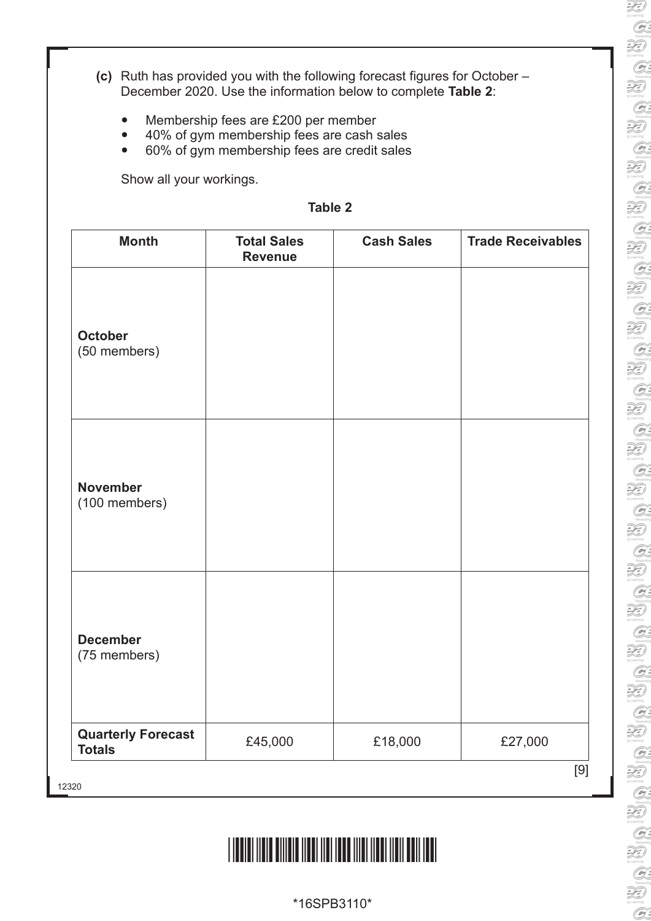**(c)** Ruth has provided you with the following forecast figures for October – December 2020. Use the information below to complete **Table 2**:

- Membership fees are £200 per member
- 40% of gym membership fees are cash sales
- 60% of gym membership fees are credit sales

Show all your workings.

| <b>Total Sales</b><br><b>Revenue</b> | <b>Cash Sales</b> | <b>Trade Receivables</b> |
|--------------------------------------|-------------------|--------------------------|
|                                      |                   |                          |
|                                      |                   |                          |
|                                      |                   |                          |
| £45,000                              | £18,000           | £27,000                  |
|                                      |                   |                          |

\*16SPB3110\*

 $\mathcal{D}$  $G$  $\overline{\mathscr{L}}$  $G$  $\widetilde{2D}$  $G$  $\mathcal{D}$  $G$  $\overline{\mathscr{L}}$  $G$ G  $\widetilde{H}$  $G$ 30  $G$  $G$ 20  $G$  $\overline{\mathscr{L}}$  $\widehat{G}$  $\overline{\mathscr{L}}$  $G$  $\mathcal{D}$  $G$  $\mathcal{D}$ G  $\widetilde{H}$ G  $\overline{\mathscr{L}}$  $G$  $\overline{2D}$  $G$  $\overline{\mathscr{L}}$  $G$  $\overline{\mathscr{L}}$  $\widehat{G}$  $\sum_{\text{plensing}}$  $G$  $\overline{\mathscr{L}}$  $\widehat{G}$  $\widetilde{2D}$  $\overline{G}$  $\mathcal{D}$ 

 $G$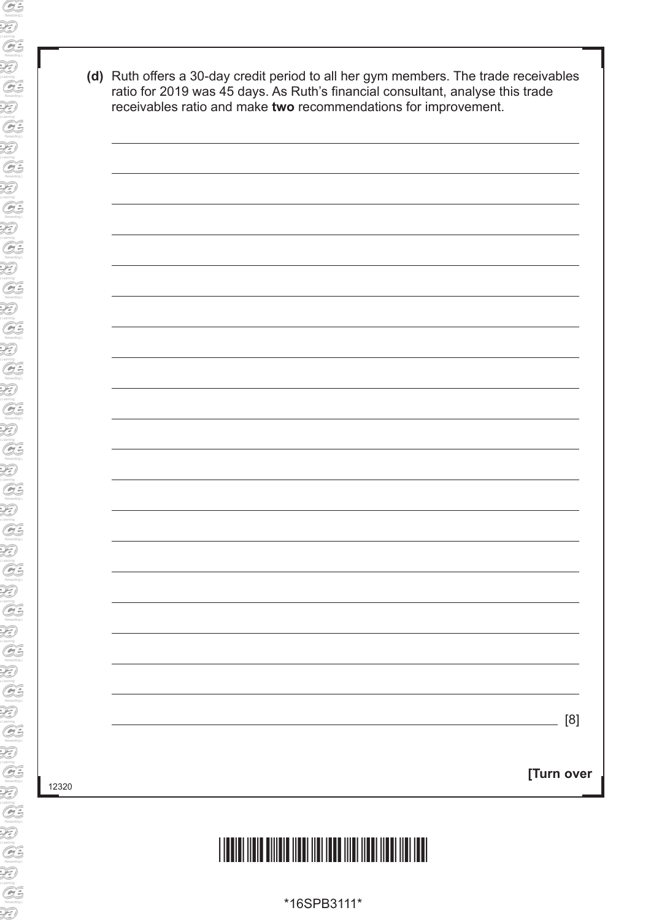|  | [Turn over |
|--|------------|
|  | [8]        |
|  |            |
|  |            |
|  |            |
|  |            |
|  |            |
|  |            |
|  |            |
|  |            |
|  |            |
|  |            |
|  |            |
|  |            |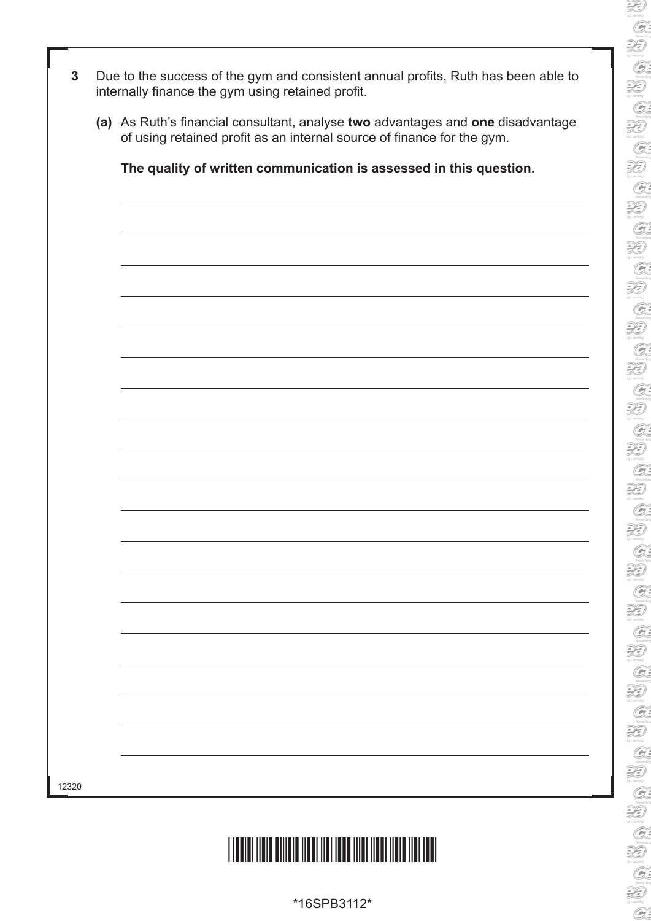- $\partial\!\!\!\!\!\!\!\partial$  $G$  $\mathcal{D}$  $G$  $G$  $\mathcal{D}$  $\widehat{G}$ 39  $G$  $\mathcal{D}$ G  $G$ 30  $G$  $G$  $\widetilde{H}$  $G$  $G$  $\mathcal{D}$  $G$  $\partial\widehat{\partial}$  $G$  $\mathcal{D}$ G  $\mathcal{D}$ G  $\mathcal{D}$  $G$  $\widetilde{H}$  $G$  $\overline{2}$  $G$  $\overline{\mathscr{L}}$  $G$  $\sum_{\text{plensing}}$ G  $G$  $G$  $G$
- <u>\*16SPB3112.0 PHOTO INDIANA INDIANA INDIANA INDIANA INDIANA INDIANA INDIANA INDIANA INDIANA INDIANA INDIANA IN</u> 12320 **3** Due to the success of the gym and consistent annual profits, Ruth has been able to internally finance the gym using retained profit. **(a)** As Ruth's financial consultant, analyse **two** advantages and **one** disadvantage of using retained profit as an internal source of finance for the gym.  **The quality of written communication is assessed in this question.**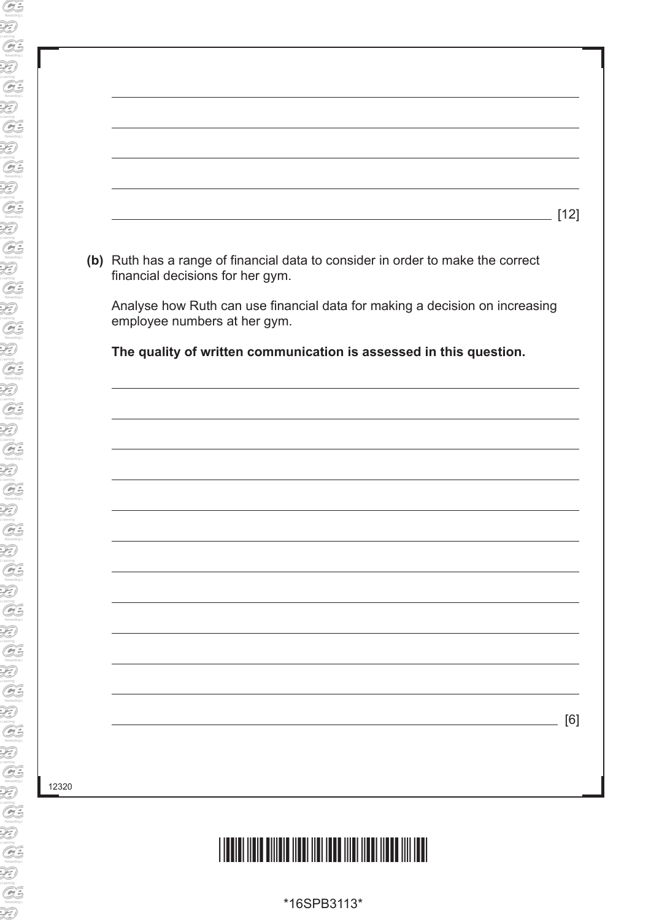|    | $[12]$                                                                                                              |
|----|---------------------------------------------------------------------------------------------------------------------|
|    | (b) Ruth has a range of financial data to consider in order to make the correct<br>financial decisions for her gym. |
|    | Analyse how Ruth can use financial data for making a decision on increasing<br>employee numbers at her gym.         |
|    | The quality of written communication is assessed in this question.                                                  |
|    |                                                                                                                     |
|    |                                                                                                                     |
|    |                                                                                                                     |
|    |                                                                                                                     |
|    |                                                                                                                     |
|    |                                                                                                                     |
|    |                                                                                                                     |
|    |                                                                                                                     |
|    |                                                                                                                     |
|    |                                                                                                                     |
|    |                                                                                                                     |
|    |                                                                                                                     |
|    |                                                                                                                     |
|    |                                                                                                                     |
|    | [6]                                                                                                                 |
|    |                                                                                                                     |
|    |                                                                                                                     |
| 20 |                                                                                                                     |

# \*16SPB3113\*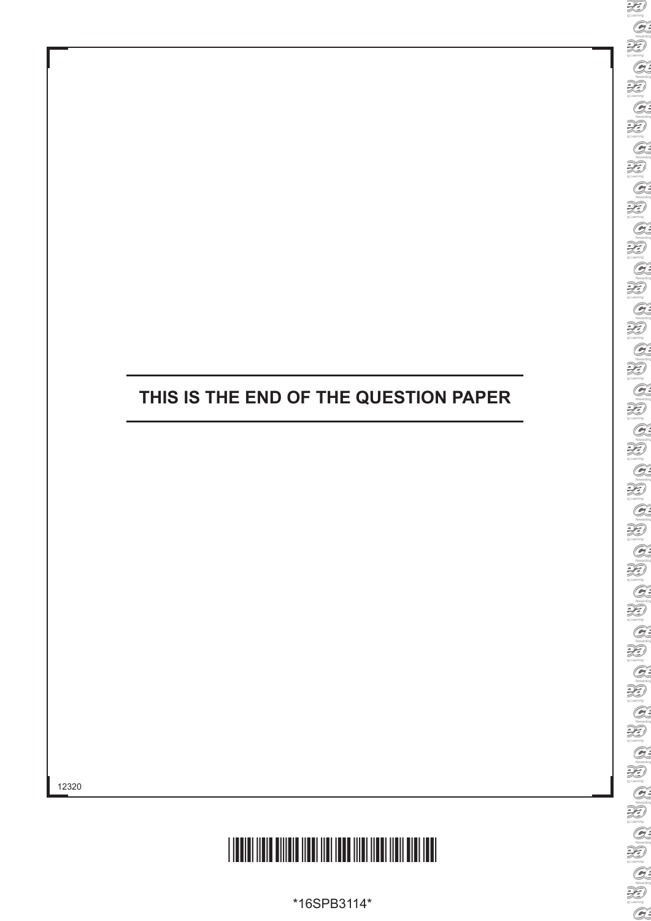### **THIS IS THE END OF THE QUESTION PAPER**



\*16SPB3114\*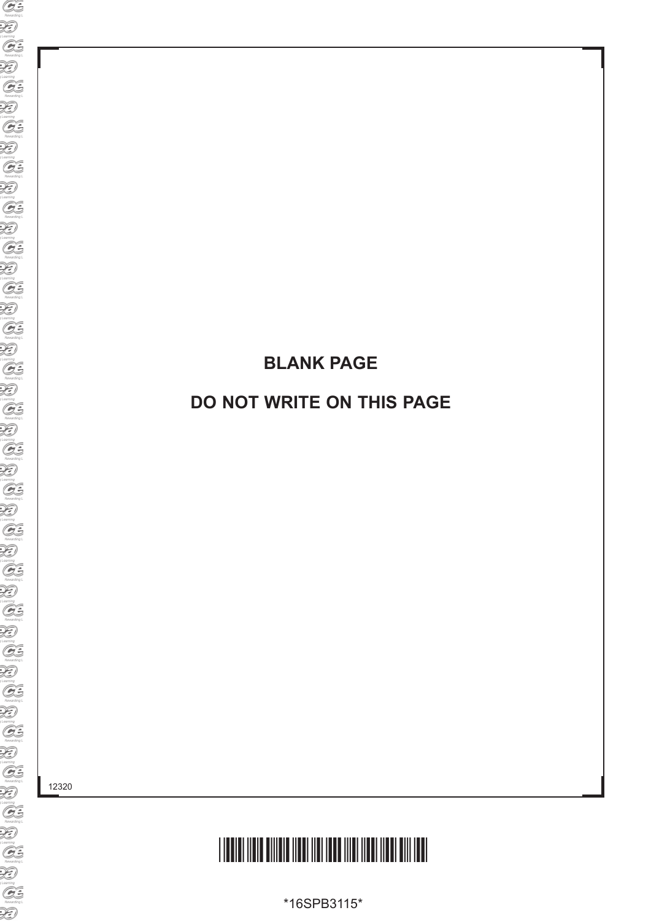### **BLANK PAGE**

### **DO NOT WRITE ON THIS PAGE**

12320

# \*16SPB3115\*

\*16SPB3115\*